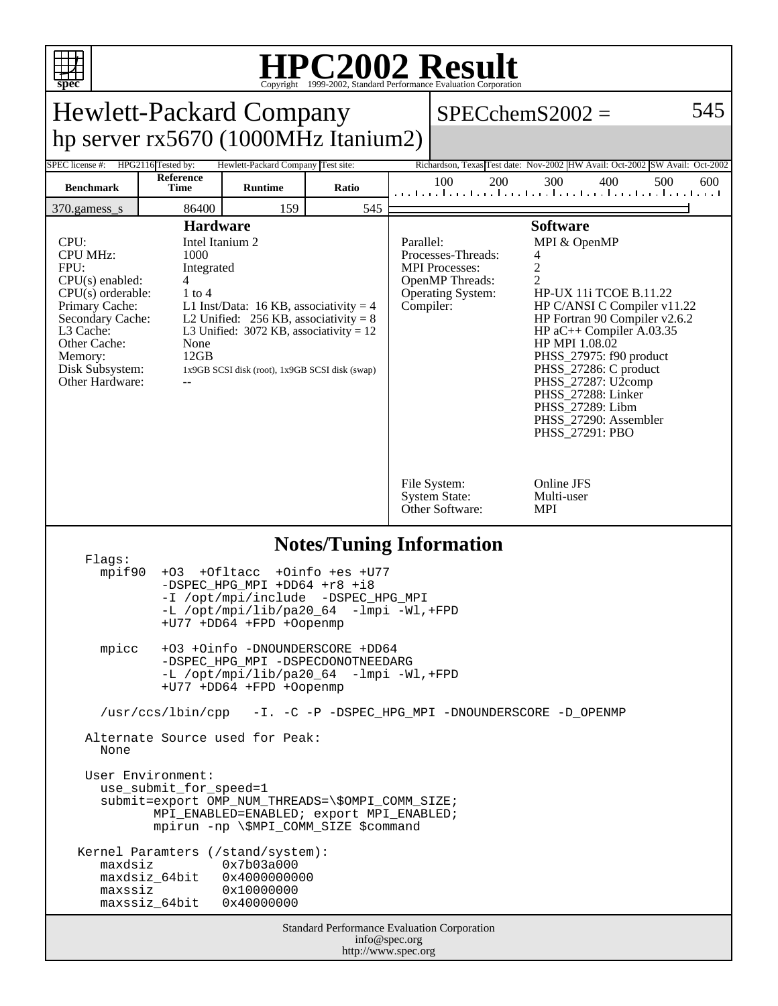

## **HPC2002 Result**

| spec                                                                                                                                                                                                                                           |                                                                                                                                                                                                                                                                                                                            |                                                                                                                                                                                                                                      | Copyright ©1999-2002, Standard Performance Evaluation Corporation  |                                                                                                   |                                                                                                                                                                                                                                                                                                                                                                                                                                                                                                                          |     |     |     |     |
|------------------------------------------------------------------------------------------------------------------------------------------------------------------------------------------------------------------------------------------------|----------------------------------------------------------------------------------------------------------------------------------------------------------------------------------------------------------------------------------------------------------------------------------------------------------------------------|--------------------------------------------------------------------------------------------------------------------------------------------------------------------------------------------------------------------------------------|--------------------------------------------------------------------|---------------------------------------------------------------------------------------------------|--------------------------------------------------------------------------------------------------------------------------------------------------------------------------------------------------------------------------------------------------------------------------------------------------------------------------------------------------------------------------------------------------------------------------------------------------------------------------------------------------------------------------|-----|-----|-----|-----|
| <b>Hewlett-Packard Company</b>                                                                                                                                                                                                                 |                                                                                                                                                                                                                                                                                                                            |                                                                                                                                                                                                                                      |                                                                    |                                                                                                   | $SPECchemS2002 =$                                                                                                                                                                                                                                                                                                                                                                                                                                                                                                        |     |     |     |     |
| hp server rx5670 (1000MHz Itanium2)                                                                                                                                                                                                            |                                                                                                                                                                                                                                                                                                                            |                                                                                                                                                                                                                                      |                                                                    |                                                                                                   |                                                                                                                                                                                                                                                                                                                                                                                                                                                                                                                          |     |     |     |     |
| SPEC license #:                                                                                                                                                                                                                                | HPG2116 Tested by:<br>Hewlett-Packard Company Test site:<br>Reference                                                                                                                                                                                                                                                      |                                                                                                                                                                                                                                      |                                                                    |                                                                                                   | Richardson, Texas Test date: Nov-2002 HW Avail: Oct-2002 SW Avail: Oct-2002                                                                                                                                                                                                                                                                                                                                                                                                                                              |     |     |     |     |
| <b>Benchmark</b>                                                                                                                                                                                                                               | Time                                                                                                                                                                                                                                                                                                                       | <b>Runtime</b>                                                                                                                                                                                                                       | Ratio                                                              |                                                                                                   | 100<br>200<br>المتما وبالمتما والمتحا والمتما وبوا وبالمتحا وبوا وبالمتحا ويتاليف                                                                                                                                                                                                                                                                                                                                                                                                                                        | 300 | 400 | 500 | 600 |
| 159<br>545<br>86400<br>370.gamess_s                                                                                                                                                                                                            |                                                                                                                                                                                                                                                                                                                            |                                                                                                                                                                                                                                      |                                                                    |                                                                                                   |                                                                                                                                                                                                                                                                                                                                                                                                                                                                                                                          |     |     |     |     |
| CPU:<br><b>CPU MHz:</b><br>FPU:<br>$CPU(s)$ enabled:<br>Primary Cache:<br>L3 Cache:<br>Other Cache:<br>Memory:<br>Disk Subsystem:<br>Other Hardware:                                                                                           | <b>Hardware</b><br>Intel Itanium 2<br>1000<br>Integrated<br>4<br>$CPU(s)$ orderable:<br>$1$ to $4$<br>L1 Inst/Data: 16 KB, associativity = 4<br>Secondary Cache:<br>L2 Unified: $256$ KB, associativity = 8<br>L3 Unified: $3072$ KB, associativity = 12<br>None<br>12GB<br>1x9GB SCSI disk (root), 1x9GB SCSI disk (swap) |                                                                                                                                                                                                                                      |                                                                    |                                                                                                   | <b>Software</b><br>Parallel:<br>MPI & OpenMP<br>Processes-Threads:<br>4<br>$\overline{c}$<br><b>MPI</b> Processes:<br>$\overline{c}$<br><b>OpenMP</b> Threads:<br><b>Operating System:</b><br><b>HP-UX 11i TCOE B.11.22</b><br>Compiler:<br>HP C/ANSI C Compiler v11.22<br>HP Fortran 90 Compiler v2.6.2<br>HP $aC++$ Compiler A.03.35<br>HP MPI 1.08.02<br>PHSS_27975: f90 product<br>PHSS_27286: C product<br>PHSS_27287: U2comp<br>PHSS_27288: Linker<br>PHSS_27289: Libm<br>PHSS_27290: Assembler<br>PHSS_27291: PBO |     |     |     |     |
|                                                                                                                                                                                                                                                |                                                                                                                                                                                                                                                                                                                            |                                                                                                                                                                                                                                      |                                                                    | Online JFS<br>File System:<br><b>System State:</b><br>Multi-user<br>Other Software:<br><b>MPI</b> |                                                                                                                                                                                                                                                                                                                                                                                                                                                                                                                          |     |     |     |     |
| <b>Notes/Tuning Information</b><br>Flaqs:<br>+Oinfo +es +U77<br>mpif90<br>+Ofltacc<br>$+O3$<br>-DSPEC_HPG_MPI +DD64 +r8 +i8<br>-I /opt/mpi/include -DSPEC_HPG_MPI<br>-L /opt/mpi/lib/pa20_64<br>$-lmpi -Wl$ , +FPD<br>+U77 +DD64 +FPD +Oopenmp |                                                                                                                                                                                                                                                                                                                            |                                                                                                                                                                                                                                      |                                                                    |                                                                                                   |                                                                                                                                                                                                                                                                                                                                                                                                                                                                                                                          |     |     |     |     |
| mpicc                                                                                                                                                                                                                                          | +03 +0info -DNOUNDERSCORE +DD64<br>-DSPEC HPG MPI -DSPECDONOTNEEDARG<br>-L /opt/mpi/lib/pa20_64 -lmpi -Wl,+FPD<br>+U77 +DD64 +FPD +Oopenmp                                                                                                                                                                                 |                                                                                                                                                                                                                                      |                                                                    |                                                                                                   |                                                                                                                                                                                                                                                                                                                                                                                                                                                                                                                          |     |     |     |     |
|                                                                                                                                                                                                                                                |                                                                                                                                                                                                                                                                                                                            | /usr/ccs/lbin/cpp -I. -C -P -DSPEC_HPG_MPI -DNOUNDERSCORE -D_OPENMP                                                                                                                                                                  |                                                                    |                                                                                                   |                                                                                                                                                                                                                                                                                                                                                                                                                                                                                                                          |     |     |     |     |
| None                                                                                                                                                                                                                                           |                                                                                                                                                                                                                                                                                                                            | Alternate Source used for Peak:                                                                                                                                                                                                      |                                                                    |                                                                                                   |                                                                                                                                                                                                                                                                                                                                                                                                                                                                                                                          |     |     |     |     |
| maxdsiz<br>maxssiz                                                                                                                                                                                                                             | User Environment:<br>use_submit_for_speed=1<br>maxdsiz_64bit<br>maxssiz_64bit                                                                                                                                                                                                                                              | submit=export OMP_NUM_THREADS=\\$OMPI_COMM_SIZE;<br>MPI_ENABLED=ENABLED; export MPI_ENABLED;<br>mpirun -np \\$MPI_COMM_SIZE \$command<br>Kernel Paramters (/stand/system):<br>0x7b03a000<br>0x4000000000<br>0x10000000<br>0x40000000 |                                                                    |                                                                                                   |                                                                                                                                                                                                                                                                                                                                                                                                                                                                                                                          |     |     |     |     |
|                                                                                                                                                                                                                                                |                                                                                                                                                                                                                                                                                                                            |                                                                                                                                                                                                                                      | Standard Performance Evaluation Corporation<br>http://www.spec.org | info@spec.org                                                                                     |                                                                                                                                                                                                                                                                                                                                                                                                                                                                                                                          |     |     |     |     |